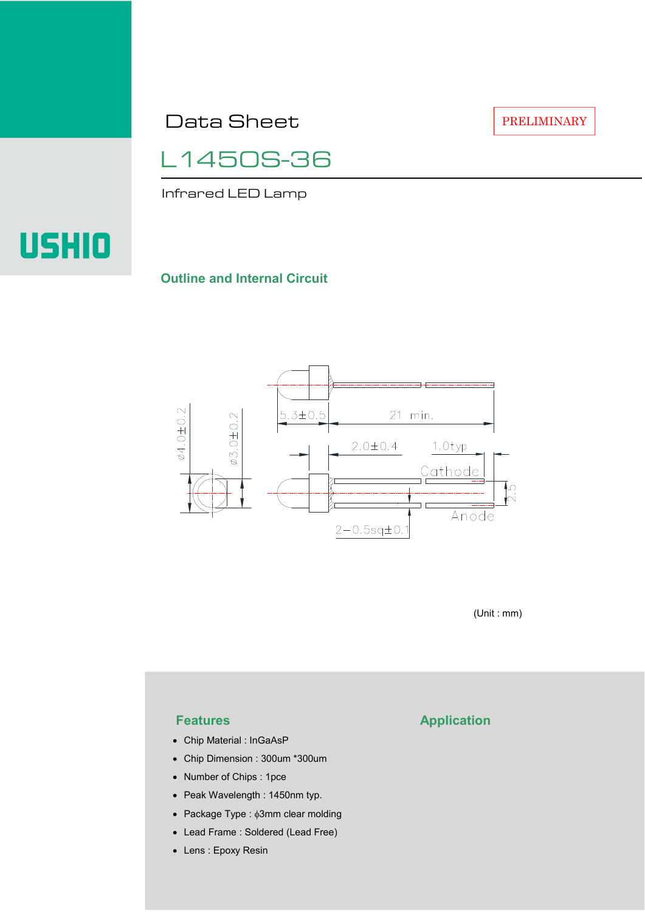Data Sheet

PRELIMINARY

L1450S-36

Infrared LED Lamp

# **USHIO**

#### **Outline and Internal Circuit**



(Unit : mm)

- Chip Material : InGaAsP
- Chip Dimension : 300um \*300um
- Number of Chips : 1pce
- Peak Wavelength : 1450nm typ.
- Package Type : φ3mm clear molding
- Lead Frame : Soldered (Lead Free)
- Lens : Epoxy Resin

## **Features Application**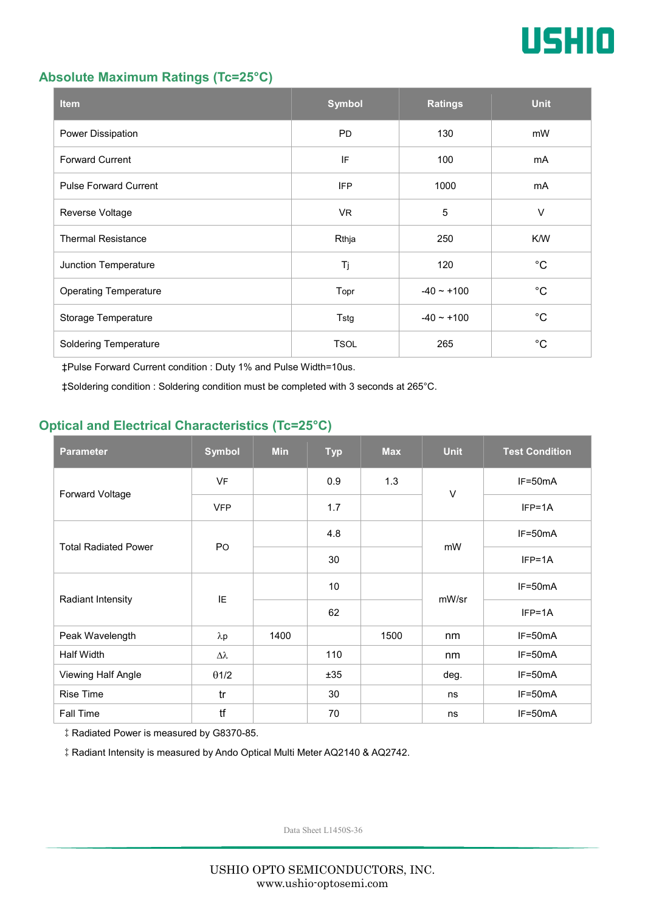

#### **Absolute Maximum Ratings (Tc=25°C)**

| <b>Item</b>                  | <b>Symbol</b> | <b>Ratings</b>  | <b>Unit</b> |
|------------------------------|---------------|-----------------|-------------|
| Power Dissipation            | <b>PD</b>     | 130             | mW          |
| <b>Forward Current</b>       | IF            | 100             | mA          |
| <b>Pulse Forward Current</b> | <b>IFP</b>    | 1000            | mA          |
| Reverse Voltage              | VR.           | $\overline{5}$  | $\vee$      |
| <b>Thermal Resistance</b>    | Rthja         | 250             | K/W         |
| Junction Temperature         | Tj            | 120             | $^{\circ}C$ |
| <b>Operating Temperature</b> | Topr          | $-40 \sim +100$ | $^{\circ}C$ |
| Storage Temperature          | Tstg          | $-40 - +100$    | $^{\circ}C$ |
| <b>Soldering Temperature</b> | <b>TSOL</b>   | 265             | $^{\circ}C$ |

‡Pulse Forward Current condition : Duty 1% and Pulse Width=10us.

‡Soldering condition : Soldering condition must be completed with 3 seconds at 265°C.

### **Optical and Electrical Characteristics (Tc=25°C)**

| <b>Parameter</b>            | <b>Symbol</b>    | <b>Min</b> | <b>Typ</b> | <b>Max</b> | <b>Unit</b> | <b>Test Condition</b> |
|-----------------------------|------------------|------------|------------|------------|-------------|-----------------------|
| Forward Voltage             | <b>VF</b>        |            | 0.9        | 1.3        | $\vee$      | IF=50mA               |
|                             | <b>VFP</b>       |            | 1.7        |            |             | $IFP=1A$              |
| <b>Total Radiated Power</b> | P <sub>O</sub>   |            | 4.8        |            | mW          | $IF=50mA$             |
|                             |                  |            | 30         |            |             | $IFP=1A$              |
| Radiant Intensity           | IE               |            | 10         |            | mW/sr       | $IF=50mA$             |
|                             |                  |            | 62         |            |             | $IFP=1A$              |
| Peak Wavelength             | $\lambda$ p      | 1400       |            | 1500       | nm          | $IF=50mA$             |
| <b>Half Width</b>           | $\Delta \lambda$ |            | 110        |            | nm          | $IF=50mA$             |
| Viewing Half Angle          | $\theta$ 1/2     |            | ±35        |            | deg.        | $IF=50mA$             |
| <b>Rise Time</b>            | tr               |            | 30         |            | ns          | $IF=50mA$             |
| Fall Time                   | tf               |            | 70         |            | ns          | $IF=50mA$             |

‡Radiated Power is measured by G8370-85.

‡Radiant Intensity is measured by Ando Optical Multi Meter AQ2140 & AQ2742.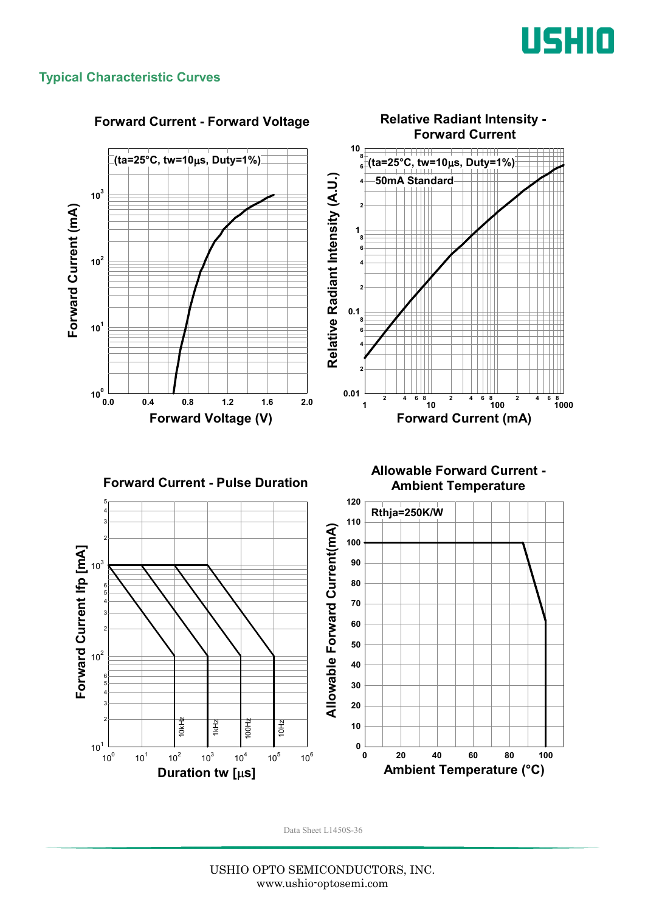

#### **Typical Characteristic Curves**

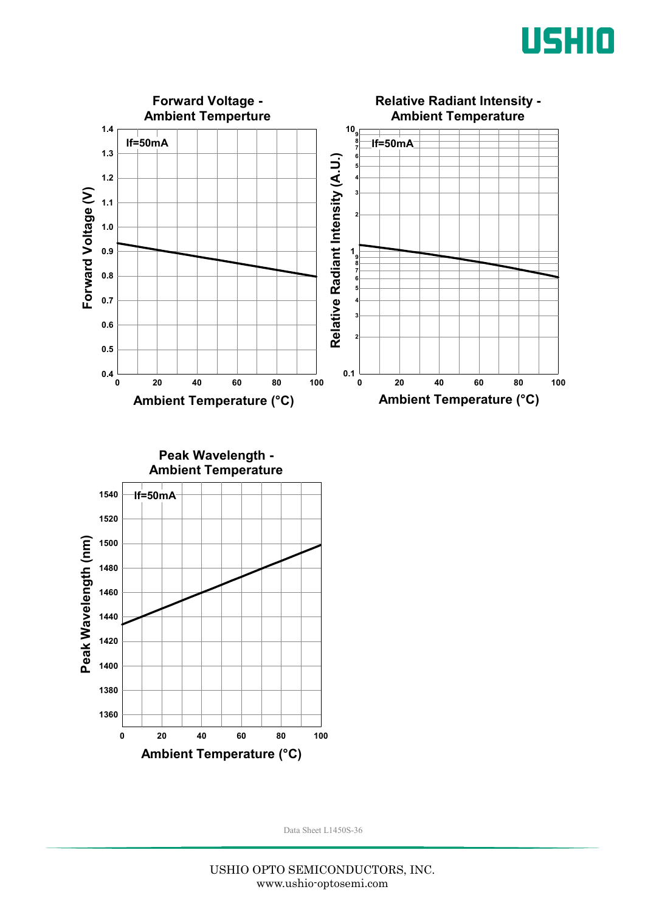



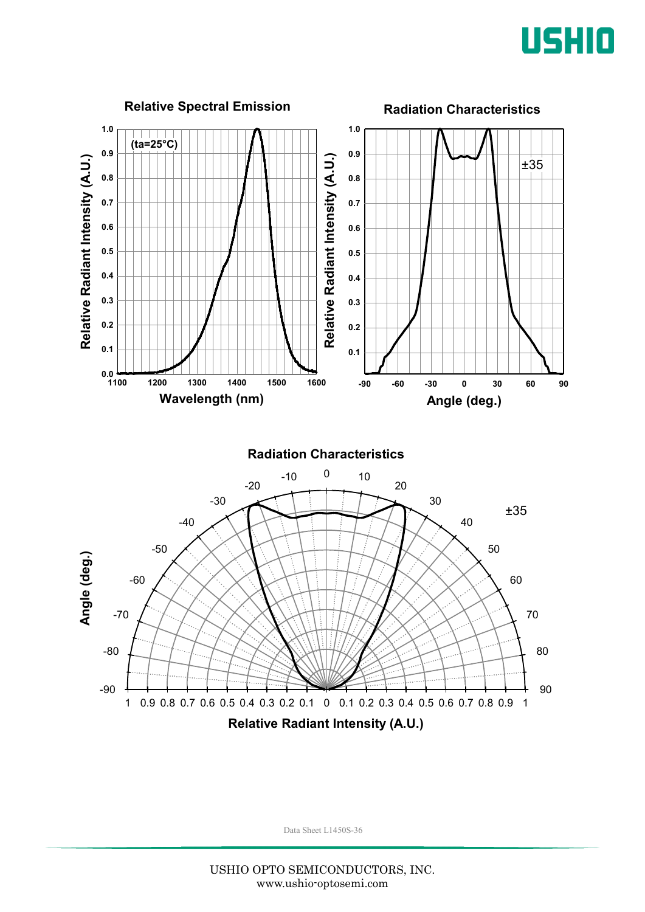